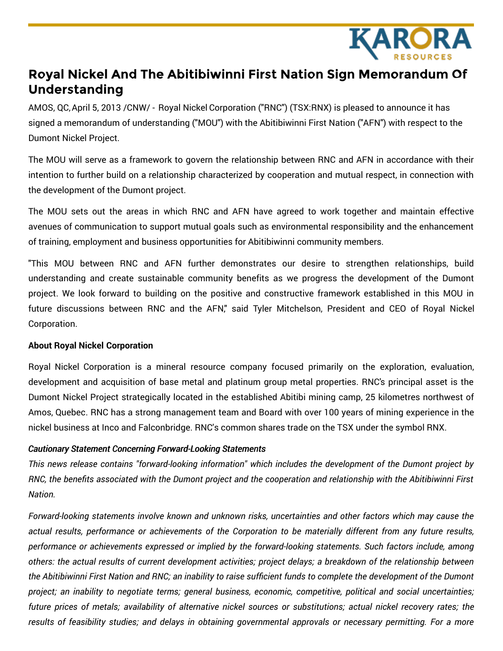

## **Royal Nickel And The Abitibiwinni First Nation Sign Memorandum Of Understanding**

AMOS, QC,April 5, 2013 /CNW/ - Royal Nickel Corporation ("RNC") (TSX:RNX) is pleased to announce it has signed a memorandum of understanding ("MOU") with the Abitibiwinni First Nation ("AFN") with respect to the Dumont Nickel Project.

The MOU will serve as a framework to govern the relationship between RNC and AFN in accordance with their intention to further build on a relationship characterized by cooperation and mutual respect, in connection with the development of the Dumont project.

The MOU sets out the areas in which RNC and AFN have agreed to work together and maintain effective avenues of communication to support mutual goals such as environmental responsibility and the enhancement of training, employment and business opportunities for Abitibiwinni community members.

"This MOU between RNC and AFN further demonstrates our desire to strengthen relationships, build understanding and create sustainable community benefits as we progress the development of the Dumont project. We look forward to building on the positive and constructive framework established in this MOU in future discussions between RNC and the AFN," said Tyler Mitchelson, President and CEO of Royal Nickel Corporation.

## **About Royal Nickel Corporation**

Royal Nickel Corporation is a mineral resource company focused primarily on the exploration, evaluation, development and acquisition of base metal and platinum group metal properties. RNC's principal asset is the Dumont Nickel Project strategically located in the established Abitibi mining camp, 25 kilometres northwest of Amos, Quebec. RNC has a strong management team and Board with over 100 years of mining experience in the nickel business at Inco and Falconbridge. RNC's common shares trade on the TSX under the symbol RNX.

## *Cautionary Statement Concerning Forward-Looking Statements*

*This news release contains "forward-looking information" which includes the development of the Dumont project by* RNC, the benefits associated with the Dumont project and the cooperation and relationship with the Abitibiwinni First *Nation.*

*Forward-looking statements involve known and unknown risks, uncertainties and other factors which may cause the* actual results, performance or achievements of the Corporation to be materially different from any future results, *performance or achievements expressed or implied by the forward-looking statements. Such factors include, among* others: the actual results of current development activities; project delays; a breakdown of the relationship between the Abitibiwinni First Nation and RNC; an inability to raise sufficient funds to complete the development of the Dumont *project; an inability to negotiate terms; general business, economic, competitive, political and social uncertainties;* future prices of metals; availability of alternative nickel sources or substitutions; actual nickel recovery rates; the results of feasibility studies; and delays in obtaining governmental approvals or necessary permitting. For a more